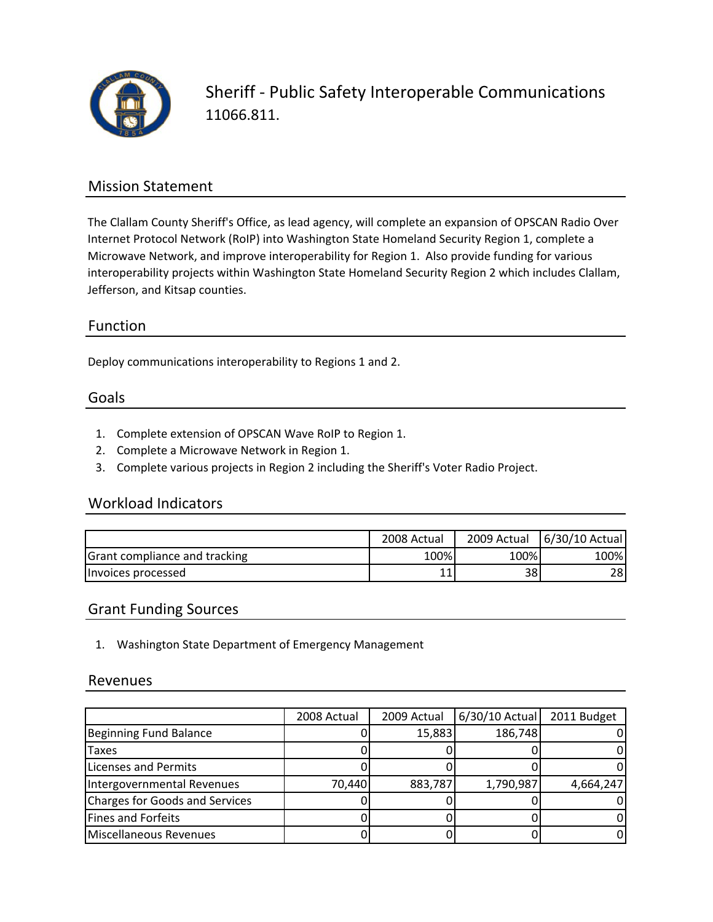

Sheriff ‐ Public Safety Interoperable Communications 11066.811.

### Mission Statement

The Clallam County Sheriff's Office, as lead agency, will complete an expansion of OPSCAN Radio Over Internet Protocol Network (RoIP) into Washington State Homeland Security Region 1, complete a Microwave Network, and improve interoperability for Region 1. Also provide funding for various interoperability projects within Washington State Homeland Security Region 2 which includes Clallam, Jefferson, and Kitsap counties.

## Function

Deploy communications interoperability to Regions 1 and 2.

#### Goals

- 1. Complete extension of OPSCAN Wave RoIP to Region 1.
- 2. Complete a Microwave Network in Region 1.
- 3. Complete various projects in Region 2 including the Sheriff's Voter Radio Project.

### Workload Indicators

|                               | 2008 Actual | 2009 Actual | 6/30/10 Actual |
|-------------------------------|-------------|-------------|----------------|
| Grant compliance and tracking | 100%        | 100%        | 100%           |
| Invoices processed            |             | 38          | 28             |

### Grant Funding Sources

1. Washington State Department of Emergency Management

#### Revenues

|                                | 2008 Actual | 2009 Actual | 6/30/10 Actual | 2011 Budget |
|--------------------------------|-------------|-------------|----------------|-------------|
| Beginning Fund Balance         |             | 15,883      | 186,748        |             |
| <b>Taxes</b>                   |             |             |                |             |
| Licenses and Permits           |             |             |                |             |
| Intergovernmental Revenues     | 70,440      | 883,787     | 1,790,987      | 4,664,247   |
| Charges for Goods and Services |             |             |                |             |
| Fines and Forfeits             |             |             |                |             |
| Miscellaneous Revenues         |             |             |                |             |